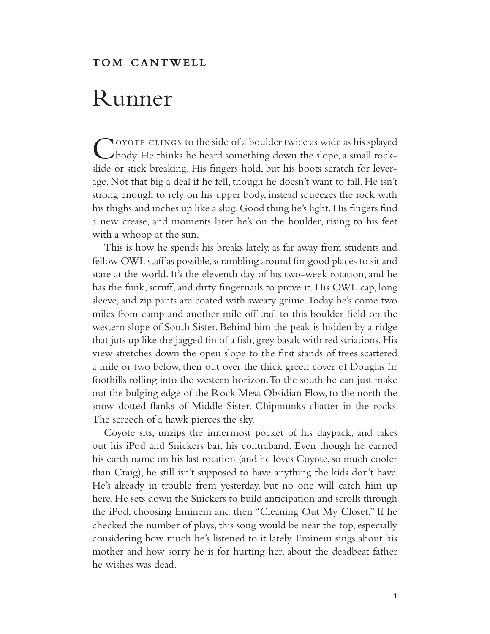## Runner

COYOTE CLINGS to the side of a boulder twice as wide as his splayed body. He thinks he heard something down the slope, a small rockslide or stick breaking. His fingers hold, but his boots scratch for leverage. Not that big a deal if he fell, though he doesn't want to fall. He isn't strong enough to rely on his upper body, instead squeezes the rock with his thighs and inches up like a slug. Good thing he's light. His fingers find a new crease, and moments later he's on the boulder, rising to his feet with a whoop at the sun.

This is how he spends his breaks lately, as far away from students and fellow OWL staff as possible, scrambling around for good places to sit and stare at the world. It's the eleventh day of his two-week rotation, and he has the funk, scruff, and dirty fingernails to prove it. His OWL cap, long sleeve, and zip pants are coated with sweaty grime. Today he's come two miles from camp and another mile off trail to this boulder field on the western slope of South Sister. Behind him the peak is hidden by a ridge that juts up like the jagged fin of a fish, grey basalt with red striations. His view stretches down the open slope to the first stands of trees scattered a mile or two below, then out over the thick green cover of Douglas fir foothills rolling into the western horizon. To the south he can just make out the bulging edge of the Rock Mesa Obsidian Flow, to the north the snow-dotted flanks of Middle Sister. Chipmunks chatter in the rocks. The screech of a hawk pierces the sky.

Coyote sits, unzips the innermost pocket of his daypack, and takes out his iPod and Snickers bar, his contraband. Even though he earned his earth name on his last rotation (and he loves Coyote, so much cooler than Craig), he still isn't supposed to have anything the kids don't have. He's already in trouble from yesterday, but no one will catch him up here. He sets down the Snickers to build anticipation and scrolls through the iPod, choosing Eminem and then "Cleaning Out My Closet." If he checked the number of plays, this song would be near the top, especially considering how much he's listened to it lately. Eminem sings about his mother and how sorry he is for hurting her, about the deadbeat father he wishes was dead.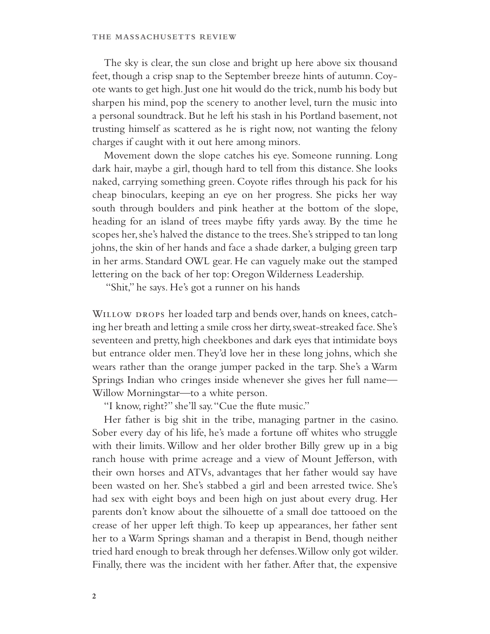The sky is clear, the sun close and bright up here above six thousand feet, though a crisp snap to the September breeze hints of autumn. Coyote wants to get high. Just one hit would do the trick, numb his body but sharpen his mind, pop the scenery to another level, turn the music into a personal soundtrack. But he left his stash in his Portland basement, not trusting himself as scattered as he is right now, not wanting the felony charges if caught with it out here among minors.

Movement down the slope catches his eye. Someone running. Long dark hair, maybe a girl, though hard to tell from this distance. She looks naked, carrying something green. Coyote rifles through his pack for his cheap binoculars, keeping an eye on her progress. She picks her way south through boulders and pink heather at the bottom of the slope, heading for an island of trees maybe fifty yards away. By the time he scopes her, she's halved the distance to the trees. She's stripped to tan long johns, the skin of her hands and face a shade darker, a bulging green tarp in her arms. Standard OWL gear. He can vaguely make out the stamped lettering on the back of her top: Oregon Wilderness Leadership.

"Shit," he says. He's got a runner on his hands

WILLOW DROPS her loaded tarp and bends over, hands on knees, catching her breath and letting a smile cross her dirty, sweat-streaked face. She's seventeen and pretty, high cheekbones and dark eyes that intimidate boys but entrance older men. They'd love her in these long johns, which she wears rather than the orange jumper packed in the tarp. She's a Warm Springs Indian who cringes inside whenever she gives her full name— Willow Morningstar—to a white person.

"I know, right?" she'll say. "Cue the flute music."

Her father is big shit in the tribe, managing partner in the casino. Sober every day of his life, he's made a fortune off whites who struggle with their limits. Willow and her older brother Billy grew up in a big ranch house with prime acreage and a view of Mount Jefferson, with their own horses and ATVs, advantages that her father would say have been wasted on her. She's stabbed a girl and been arrested twice. She's had sex with eight boys and been high on just about every drug. Her parents don't know about the silhouette of a small doe tattooed on the crease of her upper left thigh. To keep up appearances, her father sent her to a Warm Springs shaman and a therapist in Bend, though neither tried hard enough to break through her defenses. Willow only got wilder. Finally, there was the incident with her father. After that, the expensive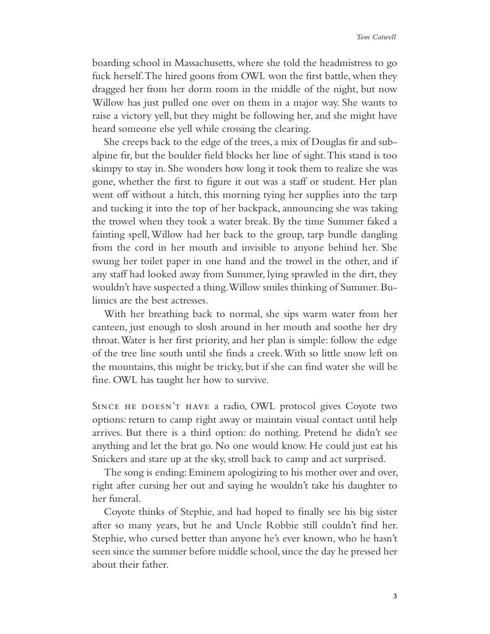boarding school in Massachusetts, where she told the headmistress to go fuck herself. The hired goons from OWL won the first battle, when they dragged her from her dorm room in the middle of the night, but now Willow has just pulled one over on them in a major way. She wants to raise a victory yell, but they might be following her, and she might have heard someone else yell while crossing the clearing.

She creeps back to the edge of the trees, a mix of Douglas fir and subalpine fir, but the boulder field blocks her line of sight. This stand is too skimpy to stay in. She wonders how long it took them to realize she was gone, whether the first to figure it out was a staff or student. Her plan went off without a hitch, this morning tying her supplies into the tarp and tucking it into the top of her backpack, announcing she was taking the trowel when they took a water break. By the time Summer faked a fainting spell, Willow had her back to the group, tarp bundle dangling from the cord in her mouth and invisible to anyone behind her. She swung her toilet paper in one hand and the trowel in the other, and if any staff had looked away from Summer, lying sprawled in the dirt, they wouldn't have suspected a thing. Willow smiles thinking of Summer. Bulimics are the best actresses.

With her breathing back to normal, she sips warm water from her canteen, just enough to slosh around in her mouth and soothe her dry throat. Water is her first priority, and her plan is simple: follow the edge of the tree line south until she finds a creek. With so little snow left on the mountains, this might be tricky, but if she can find water she will be fine. OWL has taught her how to survive.

SINCE HE DOESN'T HAVE a radio, OWL protocol gives Coyote two options: return to camp right away or maintain visual contact until help arrives. But there is a third option: do nothing. Pretend he didn't see anything and let the brat go. No one would know. He could just eat his Snickers and stare up at the sky, stroll back to camp and act surprised.

The song is ending: Eminem apologizing to his mother over and over, right after cursing her out and saying he wouldn't take his daughter to her funeral.

Coyote thinks of Stephie, and had hoped to finally see his big sister after so many years, but he and Uncle Robbie still couldn't find her. Stephie, who cursed better than anyone he's ever known, who he hasn't seen since the summer before middle school, since the day he pressed her about their father.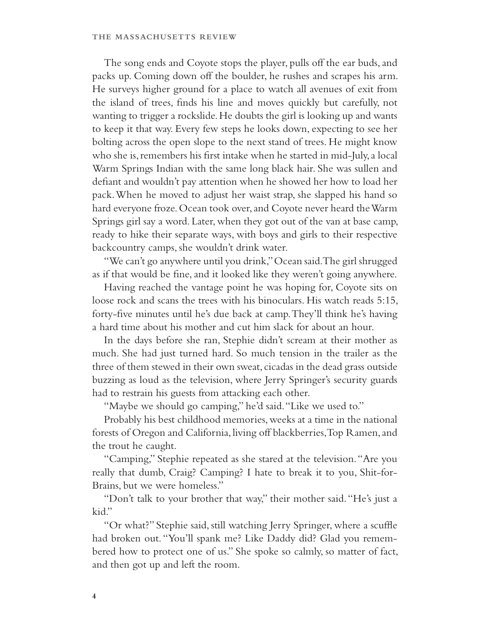The song ends and Coyote stops the player, pulls off the ear buds, and packs up. Coming down off the boulder, he rushes and scrapes his arm. He surveys higher ground for a place to watch all avenues of exit from the island of trees, finds his line and moves quickly but carefully, not wanting to trigger a rockslide. He doubts the girl is looking up and wants to keep it that way. Every few steps he looks down, expecting to see her bolting across the open slope to the next stand of trees. He might know who she is, remembers his first intake when he started in mid-July, a local Warm Springs Indian with the same long black hair. She was sullen and defiant and wouldn't pay attention when he showed her how to load her pack. When he moved to adjust her waist strap, she slapped his hand so hard everyone froze. Ocean took over, and Coyote never heard the Warm Springs girl say a word. Later, when they got out of the van at base camp, ready to hike their separate ways, with boys and girls to their respective backcountry camps, she wouldn't drink water.

"We can't go anywhere until you drink," Ocean said. The girl shrugged as if that would be fine, and it looked like they weren't going anywhere.

Having reached the vantage point he was hoping for, Coyote sits on loose rock and scans the trees with his binoculars. His watch reads 5:15, forty-five minutes until he's due back at camp. They'll think he's having a hard time about his mother and cut him slack for about an hour.

In the days before she ran, Stephie didn't scream at their mother as much. She had just turned hard. So much tension in the trailer as the three of them stewed in their own sweat, cicadas in the dead grass outside buzzing as loud as the television, where Jerry Springer's security guards had to restrain his guests from attacking each other.

"Maybe we should go camping," he'd said. "Like we used to."

Probably his best childhood memories, weeks at a time in the national forests of Oregon and California, living off blackberries, Top Ramen, and the trout he caught.

"Camping," Stephie repeated as she stared at the television. "Are you really that dumb, Craig? Camping? I hate to break it to you, Shit-for-Brains, but we were homeless."

"Don't talk to your brother that way," their mother said. "He's just a kid."

"Or what?" Stephie said, still watching Jerry Springer, where a scuffle had broken out. "You'll spank me? Like Daddy did? Glad you remembered how to protect one of us." She spoke so calmly, so matter of fact, and then got up and left the room.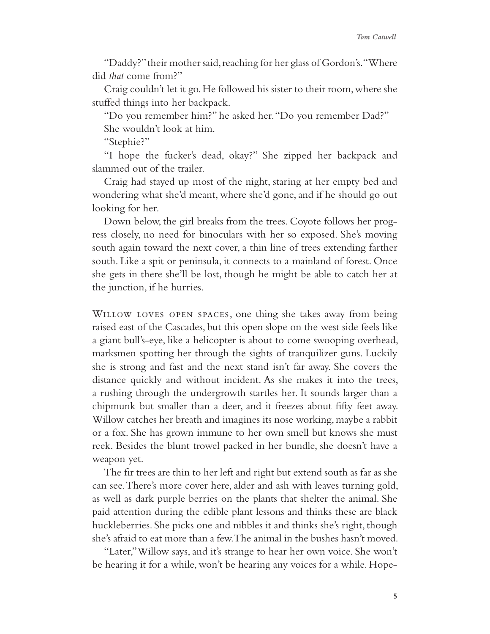"Daddy?" their mother said, reaching for her glass of Gordon's. "Where did *that* come from?"

Craig couldn't let it go. He followed his sister to their room, where she stuffed things into her backpack.

"Do you remember him?" he asked her. "Do you remember Dad?"

She wouldn't look at him.

"Stephie?"

"I hope the fucker's dead, okay?" She zipped her backpack and slammed out of the trailer.

Craig had stayed up most of the night, staring at her empty bed and wondering what she'd meant, where she'd gone, and if he should go out looking for her.

Down below, the girl breaks from the trees. Coyote follows her progress closely, no need for binoculars with her so exposed. She's moving south again toward the next cover, a thin line of trees extending farther south. Like a spit or peninsula, it connects to a mainland of forest. Once she gets in there she'll be lost, though he might be able to catch her at the junction, if he hurries.

WILLOW LOVES OPEN SPACES, one thing she takes away from being raised east of the Cascades, but this open slope on the west side feels like a giant bull's-eye, like a helicopter is about to come swooping overhead, marksmen spotting her through the sights of tranquilizer guns. Luckily she is strong and fast and the next stand isn't far away. She covers the distance quickly and without incident. As she makes it into the trees, a rushing through the undergrowth startles her. It sounds larger than a chipmunk but smaller than a deer, and it freezes about fifty feet away. Willow catches her breath and imagines its nose working, maybe a rabbit or a fox. She has grown immune to her own smell but knows she must reek. Besides the blunt trowel packed in her bundle, she doesn't have a weapon yet.

The fir trees are thin to her left and right but extend south as far as she can see. There's more cover here, alder and ash with leaves turning gold, as well as dark purple berries on the plants that shelter the animal. She paid attention during the edible plant lessons and thinks these are black huckleberries. She picks one and nibbles it and thinks she's right, though she's afraid to eat more than a few. The animal in the bushes hasn't moved.

"Later," Willow says, and it's strange to hear her own voice. She won't be hearing it for a while, won't be hearing any voices for a while. Hope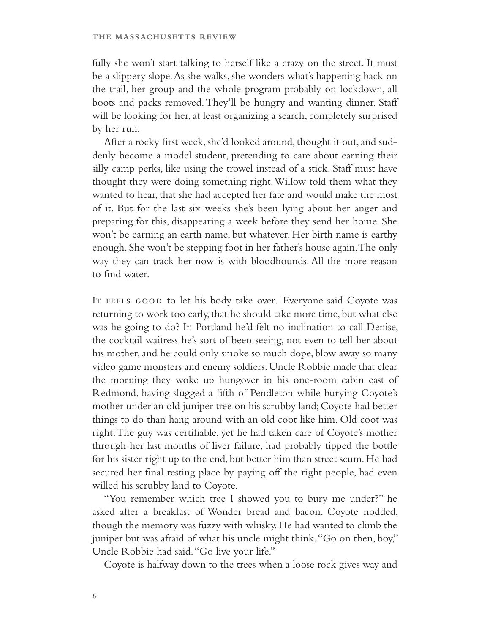fully she won't start talking to herself like a crazy on the street. It must be a slippery slope. As she walks, she wonders what's happening back on the trail, her group and the whole program probably on lockdown, all boots and packs removed. They'll be hungry and wanting dinner. Staff will be looking for her, at least organizing a search, completely surprised by her run.

After a rocky first week, she'd looked around, thought it out, and suddenly become a model student, pretending to care about earning their silly camp perks, like using the trowel instead of a stick. Staff must have thought they were doing something right. Willow told them what they wanted to hear, that she had accepted her fate and would make the most of it. But for the last six weeks she's been lying about her anger and preparing for this, disappearing a week before they send her home. She won't be earning an earth name, but whatever. Her birth name is earthy enough. She won't be stepping foot in her father's house again. The only way they can track her now is with bloodhounds. All the more reason to find water.

IT FEELS GOOD to let his body take over. Everyone said Coyote was returning to work too early, that he should take more time, but what else was he going to do? In Portland he'd felt no inclination to call Denise, the cocktail waitress he's sort of been seeing, not even to tell her about his mother, and he could only smoke so much dope, blow away so many video game monsters and enemy soldiers. Uncle Robbie made that clear the morning they woke up hungover in his one-room cabin east of Redmond, having slugged a fifth of Pendleton while burying Coyote's mother under an old juniper tree on his scrubby land; Coyote had better things to do than hang around with an old coot like him. Old coot was right. The guy was certifiable, yet he had taken care of Coyote's mother through her last months of liver failure, had probably tipped the bottle for his sister right up to the end, but better him than street scum. He had secured her final resting place by paying off the right people, had even willed his scrubby land to Coyote.

"You remember which tree I showed you to bury me under?" he asked after a breakfast of Wonder bread and bacon. Coyote nodded, though the memory was fuzzy with whisky. He had wanted to climb the juniper but was afraid of what his uncle might think. "Go on then, boy," Uncle Robbie had said. "Go live your life."

Coyote is halfway down to the trees when a loose rock gives way and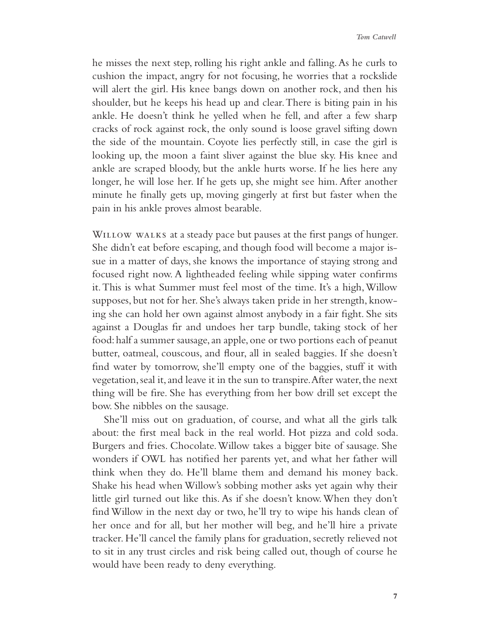he misses the next step, rolling his right ankle and falling. As he curls to cushion the impact, angry for not focusing, he worries that a rockslide will alert the girl. His knee bangs down on another rock, and then his shoulder, but he keeps his head up and clear. There is biting pain in his ankle. He doesn't think he yelled when he fell, and after a few sharp cracks of rock against rock, the only sound is loose gravel sifting down the side of the mountain. Coyote lies perfectly still, in case the girl is looking up, the moon a faint sliver against the blue sky. His knee and ankle are scraped bloody, but the ankle hurts worse. If he lies here any longer, he will lose her. If he gets up, she might see him. After another minute he finally gets up, moving gingerly at first but faster when the pain in his ankle proves almost bearable.

WILLOW WALKS at a steady pace but pauses at the first pangs of hunger. She didn't eat before escaping, and though food will become a major issue in a matter of days, she knows the importance of staying strong and focused right now. A lightheaded feeling while sipping water confirms it. This is what Summer must feel most of the time. It's a high, Willow supposes, but not for her. She's always taken pride in her strength, knowing she can hold her own against almost anybody in a fair fight. She sits against a Douglas fir and undoes her tarp bundle, taking stock of her food: half a summer sausage, an apple, one or two portions each of peanut butter, oatmeal, couscous, and flour, all in sealed baggies. If she doesn't find water by tomorrow, she'll empty one of the baggies, stuff it with vegetation, seal it, and leave it in the sun to transpire. After water, the next thing will be fire. She has everything from her bow drill set except the bow. She nibbles on the sausage.

She'll miss out on graduation, of course, and what all the girls talk about: the first meal back in the real world. Hot pizza and cold soda. Burgers and fries. Chocolate. Willow takes a bigger bite of sausage. She wonders if OWL has notified her parents yet, and what her father will think when they do. He'll blame them and demand his money back. Shake his head when Willow's sobbing mother asks yet again why their little girl turned out like this. As if she doesn't know. When they don't find Willow in the next day or two, he'll try to wipe his hands clean of her once and for all, but her mother will beg, and he'll hire a private tracker. He'll cancel the family plans for graduation, secretly relieved not to sit in any trust circles and risk being called out, though of course he would have been ready to deny everything.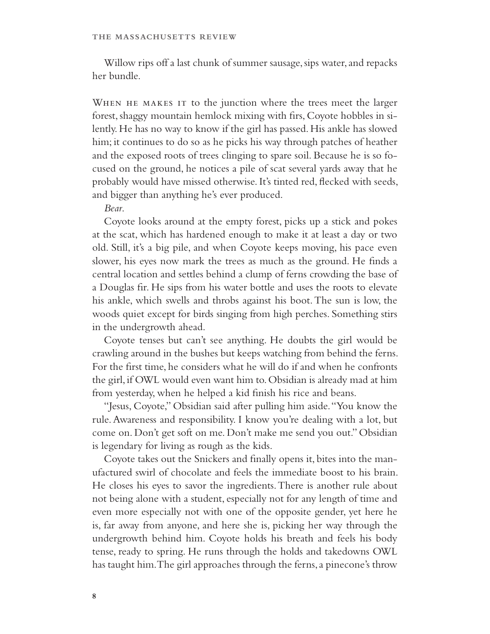Willow rips off a last chunk of summer sausage, sips water, and repacks her bundle.

WHEN HE MAKES IT to the junction where the trees meet the larger forest, shaggy mountain hemlock mixing with firs, Coyote hobbles in silently. He has no way to know if the girl has passed. His ankle has slowed him; it continues to do so as he picks his way through patches of heather and the exposed roots of trees clinging to spare soil. Because he is so focused on the ground, he notices a pile of scat several yards away that he probably would have missed otherwise. It's tinted red, flecked with seeds, and bigger than anything he's ever produced.

## *Bear*.

Coyote looks around at the empty forest, picks up a stick and pokes at the scat, which has hardened enough to make it at least a day or two old. Still, it's a big pile, and when Coyote keeps moving, his pace even slower, his eyes now mark the trees as much as the ground. He finds a central location and settles behind a clump of ferns crowding the base of a Douglas fir. He sips from his water bottle and uses the roots to elevate his ankle, which swells and throbs against his boot. The sun is low, the woods quiet except for birds singing from high perches. Something stirs in the undergrowth ahead.

Coyote tenses but can't see anything. He doubts the girl would be crawling around in the bushes but keeps watching from behind the ferns. For the first time, he considers what he will do if and when he confronts the girl, if OWL would even want him to. Obsidian is already mad at him from yesterday, when he helped a kid finish his rice and beans.

"Jesus, Coyote," Obsidian said after pulling him aside. "You know the rule. Awareness and responsibility. I know you're dealing with a lot, but come on. Don't get soft on me. Don't make me send you out." Obsidian is legendary for living as rough as the kids.

Coyote takes out the Snickers and finally opens it, bites into the manufactured swirl of chocolate and feels the immediate boost to his brain. He closes his eyes to savor the ingredients. There is another rule about not being alone with a student, especially not for any length of time and even more especially not with one of the opposite gender, yet here he is, far away from anyone, and here she is, picking her way through the undergrowth behind him. Coyote holds his breath and feels his body tense, ready to spring. He runs through the holds and takedowns OWL has taught him. The girl approaches through the ferns, a pinecone's throw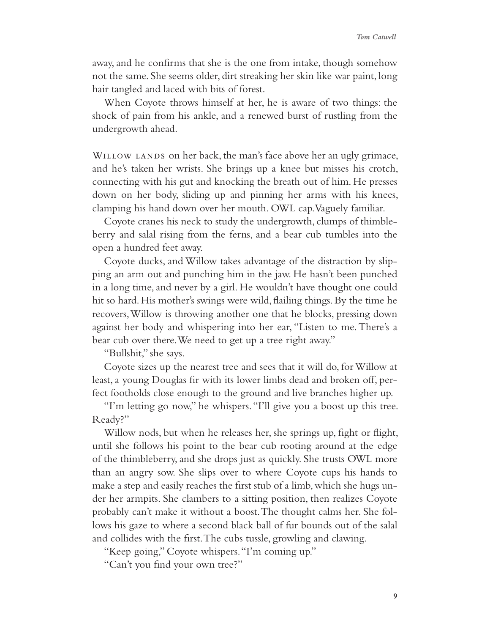away, and he confirms that she is the one from intake, though somehow not the same. She seems older, dirt streaking her skin like war paint, long hair tangled and laced with bits of forest.

When Coyote throws himself at her, he is aware of two things: the shock of pain from his ankle, and a renewed burst of rustling from the undergrowth ahead.

WILLOW LANDS on her back, the man's face above her an ugly grimace, and he's taken her wrists. She brings up a knee but misses his crotch, connecting with his gut and knocking the breath out of him. He presses down on her body, sliding up and pinning her arms with his knees, clamping his hand down over her mouth. OWL cap. Vaguely familiar.

Coyote cranes his neck to study the undergrowth, clumps of thimbleberry and salal rising from the ferns, and a bear cub tumbles into the open a hundred feet away.

Coyote ducks, and Willow takes advantage of the distraction by slipping an arm out and punching him in the jaw. He hasn't been punched in a long time, and never by a girl. He wouldn't have thought one could hit so hard. His mother's swings were wild, flailing things. By the time he recovers, Willow is throwing another one that he blocks, pressing down against her body and whispering into her ear, "Listen to me. There's a bear cub over there. We need to get up a tree right away."

"Bullshit," she says.

Coyote sizes up the nearest tree and sees that it will do, for Willow at least, a young Douglas fir with its lower limbs dead and broken off, perfect footholds close enough to the ground and live branches higher up.

"I'm letting go now," he whispers. "I'll give you a boost up this tree. Ready?"

Willow nods, but when he releases her, she springs up, fight or flight, until she follows his point to the bear cub rooting around at the edge of the thimbleberry, and she drops just as quickly. She trusts OWL more than an angry sow. She slips over to where Coyote cups his hands to make a step and easily reaches the first stub of a limb, which she hugs under her armpits. She clambers to a sitting position, then realizes Coyote probably can't make it without a boost. The thought calms her. She follows his gaze to where a second black ball of fur bounds out of the salal and collides with the first. The cubs tussle, growling and clawing.

"Keep going," Coyote whispers. "I'm coming up."

"Can't you find your own tree?"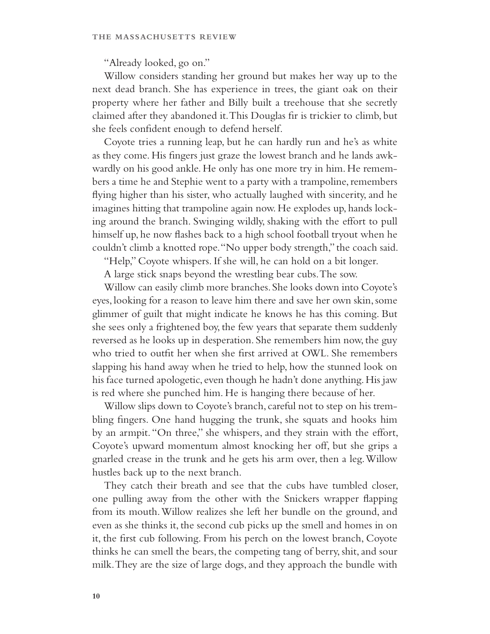"Already looked, go on."

Willow considers standing her ground but makes her way up to the next dead branch. She has experience in trees, the giant oak on their property where her father and Billy built a treehouse that she secretly claimed after they abandoned it. This Douglas fir is trickier to climb, but she feels confident enough to defend herself.

Coyote tries a running leap, but he can hardly run and he's as white as they come. His fingers just graze the lowest branch and he lands awkwardly on his good ankle. He only has one more try in him. He remembers a time he and Stephie went to a party with a trampoline, remembers flying higher than his sister, who actually laughed with sincerity, and he imagines hitting that trampoline again now. He explodes up, hands locking around the branch. Swinging wildly, shaking with the effort to pull himself up, he now flashes back to a high school football tryout when he couldn't climb a knotted rope. "No upper body strength," the coach said.

"Help," Coyote whispers. If she will, he can hold on a bit longer.

A large stick snaps beyond the wrestling bear cubs. The sow.

Willow can easily climb more branches. She looks down into Coyote's eyes, looking for a reason to leave him there and save her own skin, some glimmer of guilt that might indicate he knows he has this coming. But she sees only a frightened boy, the few years that separate them suddenly reversed as he looks up in desperation. She remembers him now, the guy who tried to outfit her when she first arrived at OWL. She remembers slapping his hand away when he tried to help, how the stunned look on his face turned apologetic, even though he hadn't done anything. His jaw is red where she punched him. He is hanging there because of her.

Willow slips down to Coyote's branch, careful not to step on his trembling fingers. One hand hugging the trunk, she squats and hooks him by an armpit. "On three," she whispers, and they strain with the effort, Coyote's upward momentum almost knocking her off, but she grips a gnarled crease in the trunk and he gets his arm over, then a leg. Willow hustles back up to the next branch.

They catch their breath and see that the cubs have tumbled closer, one pulling away from the other with the Snickers wrapper flapping from its mouth. Willow realizes she left her bundle on the ground, and even as she thinks it, the second cub picks up the smell and homes in on it, the first cub following. From his perch on the lowest branch, Coyote thinks he can smell the bears, the competing tang of berry, shit, and sour milk. They are the size of large dogs, and they approach the bundle with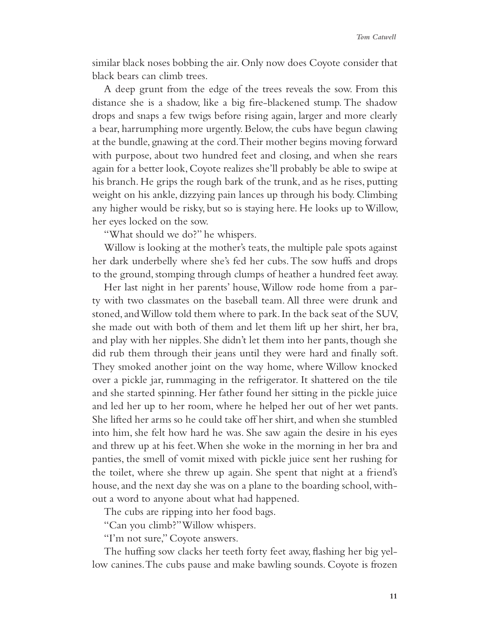similar black noses bobbing the air. Only now does Coyote consider that black bears can climb trees.

A deep grunt from the edge of the trees reveals the sow. From this distance she is a shadow, like a big fire-blackened stump. The shadow drops and snaps a few twigs before rising again, larger and more clearly a bear, harrumphing more urgently. Below, the cubs have begun clawing at the bundle, gnawing at the cord. Their mother begins moving forward with purpose, about two hundred feet and closing, and when she rears again for a better look, Coyote realizes she'll probably be able to swipe at his branch. He grips the rough bark of the trunk, and as he rises, putting weight on his ankle, dizzying pain lances up through his body. Climbing any higher would be risky, but so is staying here. He looks up to Willow, her eyes locked on the sow.

"What should we do?" he whispers.

Willow is looking at the mother's teats, the multiple pale spots against her dark underbelly where she's fed her cubs. The sow huffs and drops to the ground, stomping through clumps of heather a hundred feet away.

Her last night in her parents' house, Willow rode home from a party with two classmates on the baseball team. All three were drunk and stoned, and Willow told them where to park. In the back seat of the SUV, she made out with both of them and let them lift up her shirt, her bra, and play with her nipples. She didn't let them into her pants, though she did rub them through their jeans until they were hard and finally soft. They smoked another joint on the way home, where Willow knocked over a pickle jar, rummaging in the refrigerator. It shattered on the tile and she started spinning. Her father found her sitting in the pickle juice and led her up to her room, where he helped her out of her wet pants. She lifted her arms so he could take off her shirt, and when she stumbled into him, she felt how hard he was. She saw again the desire in his eyes and threw up at his feet. When she woke in the morning in her bra and panties, the smell of vomit mixed with pickle juice sent her rushing for the toilet, where she threw up again. She spent that night at a friend's house, and the next day she was on a plane to the boarding school, without a word to anyone about what had happened.

The cubs are ripping into her food bags.

"Can you climb?" Willow whispers.

"I'm not sure," Coyote answers.

The huffing sow clacks her teeth forty feet away, flashing her big yellow canines. The cubs pause and make bawling sounds. Coyote is frozen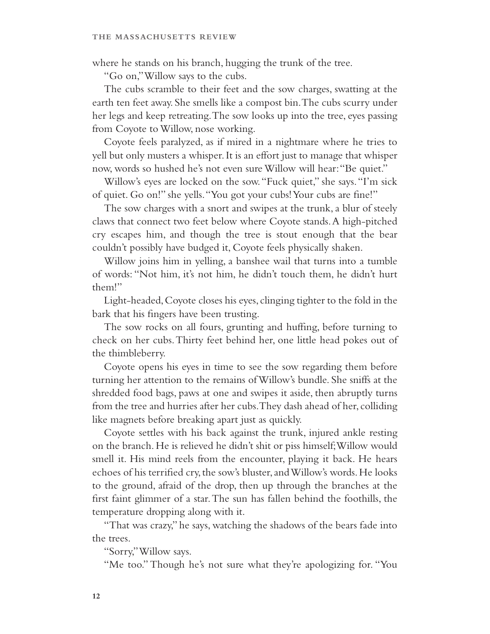where he stands on his branch, hugging the trunk of the tree.

"Go on," Willow says to the cubs.

The cubs scramble to their feet and the sow charges, swatting at the earth ten feet away. She smells like a compost bin. The cubs scurry under her legs and keep retreating. The sow looks up into the tree, eyes passing from Coyote to Willow, nose working.

Coyote feels paralyzed, as if mired in a nightmare where he tries to yell but only musters a whisper. It is an effort just to manage that whisper now, words so hushed he's not even sure Willow will hear: "Be quiet."

Willow's eyes are locked on the sow. "Fuck quiet," she says. "I'm sick of quiet. Go on!" she yells. "You got your cubs! Your cubs are fine!"

The sow charges with a snort and swipes at the trunk, a blur of steely claws that connect two feet below where Coyote stands. A high-pitched cry escapes him, and though the tree is stout enough that the bear couldn't possibly have budged it, Coyote feels physically shaken.

Willow joins him in yelling, a banshee wail that turns into a tumble of words: "Not him, it's not him, he didn't touch them, he didn't hurt them!"

Light-headed, Coyote closes his eyes, clinging tighter to the fold in the bark that his fingers have been trusting.

The sow rocks on all fours, grunting and huffing, before turning to check on her cubs. Thirty feet behind her, one little head pokes out of the thimbleberry.

Coyote opens his eyes in time to see the sow regarding them before turning her attention to the remains of Willow's bundle. She sniffs at the shredded food bags, paws at one and swipes it aside, then abruptly turns from the tree and hurries after her cubs. They dash ahead of her, colliding like magnets before breaking apart just as quickly.

Coyote settles with his back against the trunk, injured ankle resting on the branch. He is relieved he didn't shit or piss himself; Willow would smell it. His mind reels from the encounter, playing it back. He hears echoes of his terrified cry, the sow's bluster, and Willow's words. He looks to the ground, afraid of the drop, then up through the branches at the first faint glimmer of a star. The sun has fallen behind the foothills, the temperature dropping along with it.

"That was crazy," he says, watching the shadows of the bears fade into the trees.

"Sorry," Willow says.

"Me too." Though he's not sure what they're apologizing for. "You